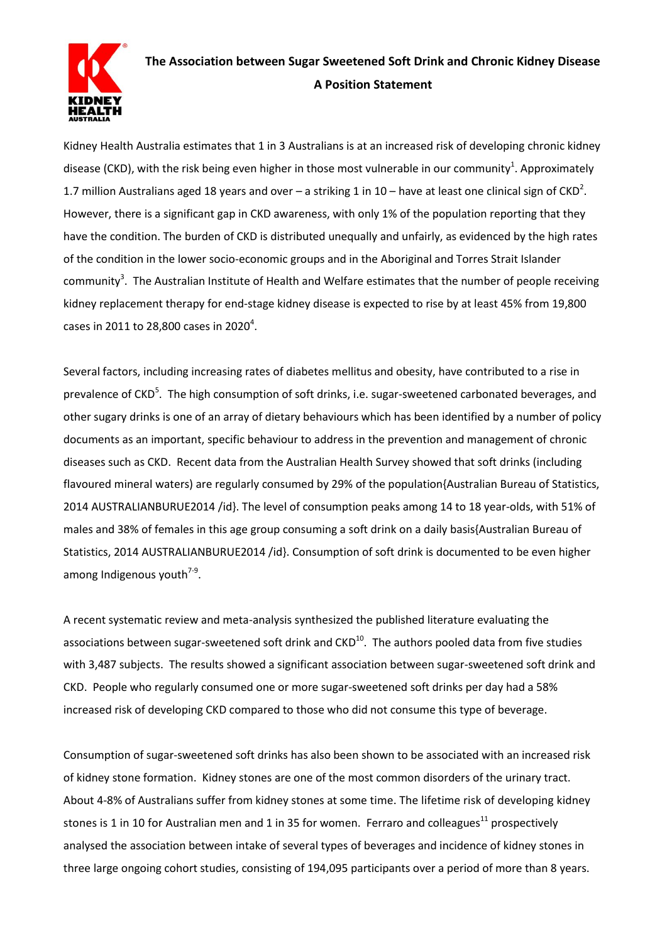

## **The Association between Sugar Sweetened Soft Drink and Chronic Kidney Disease A Position Statement**

Kidney Health Australia estimates that 1 in 3 Australians is at an increased risk of developing chronic kidney disease (CKD), with the risk being even higher in those most vulnerable in our community<sup>1</sup>. Approximately 1.7 million Australians aged 18 years and over – a striking 1 in 10 – have at least one clinical sign of CKD<sup>2</sup>. However, there is a significant gap in CKD awareness, with only 1% of the population reporting that they have the condition. The burden of CKD is distributed unequally and unfairly, as evidenced by the high rates of the condition in the lower socio-economic groups and in the Aboriginal and Torres Strait Islander community<sup>3</sup>. The Australian Institute of Health and Welfare estimates that the number of people receiving kidney replacement therapy for end-stage kidney disease is expected to rise by at least 45% from 19,800 cases in 2011 to 28,800 cases in 2020<sup>4</sup>.

Several factors, including increasing rates of diabetes mellitus and obesity, have contributed to a rise in prevalence of CKD<sup>5</sup>. The high consumption of soft drinks, i.e. sugar-sweetened carbonated beverages, and other sugary drinks is one of an array of dietary behaviours which has been identified by a number of policy documents as an important, specific behaviour to address in the prevention and management of chronic diseases such as CKD. Recent data from the Australian Health Survey showed that soft drinks (including flavoured mineral waters) are regularly consumed by 29% of the population{Australian Bureau of Statistics, 2014 AUSTRALIANBURUE2014 /id}. The level of consumption peaks among 14 to 18 year-olds, with 51% of males and 38% of females in this age group consuming a soft drink on a daily basis{Australian Bureau of Statistics, 2014 AUSTRALIANBURUE2014 /id}. Consumption of soft drink is documented to be even higher among Indigenous youth<sup>7-9</sup>.

A recent systematic review and meta-analysis synthesized the published literature evaluating the associations between sugar-sweetened soft drink and CKD<sup>10</sup>. The authors pooled data from five studies with 3,487 subjects. The results showed a significant association between sugar-sweetened soft drink and CKD. People who regularly consumed one or more sugar-sweetened soft drinks per day had a 58% increased risk of developing CKD compared to those who did not consume this type of beverage.

Consumption of sugar-sweetened soft drinks has also been shown to be associated with an increased risk of kidney stone formation. Kidney stones are one of the most common disorders of the urinary tract. About 4-8% of Australians suffer from kidney stones at some time. The lifetime risk of developing kidney stones is 1 in 10 for Australian men and 1 in 35 for women. Ferraro and colleagues<sup>11</sup> prospectively analysed the association between intake of several types of beverages and incidence of kidney stones in three large ongoing cohort studies, consisting of 194,095 participants over a period of more than 8 years.